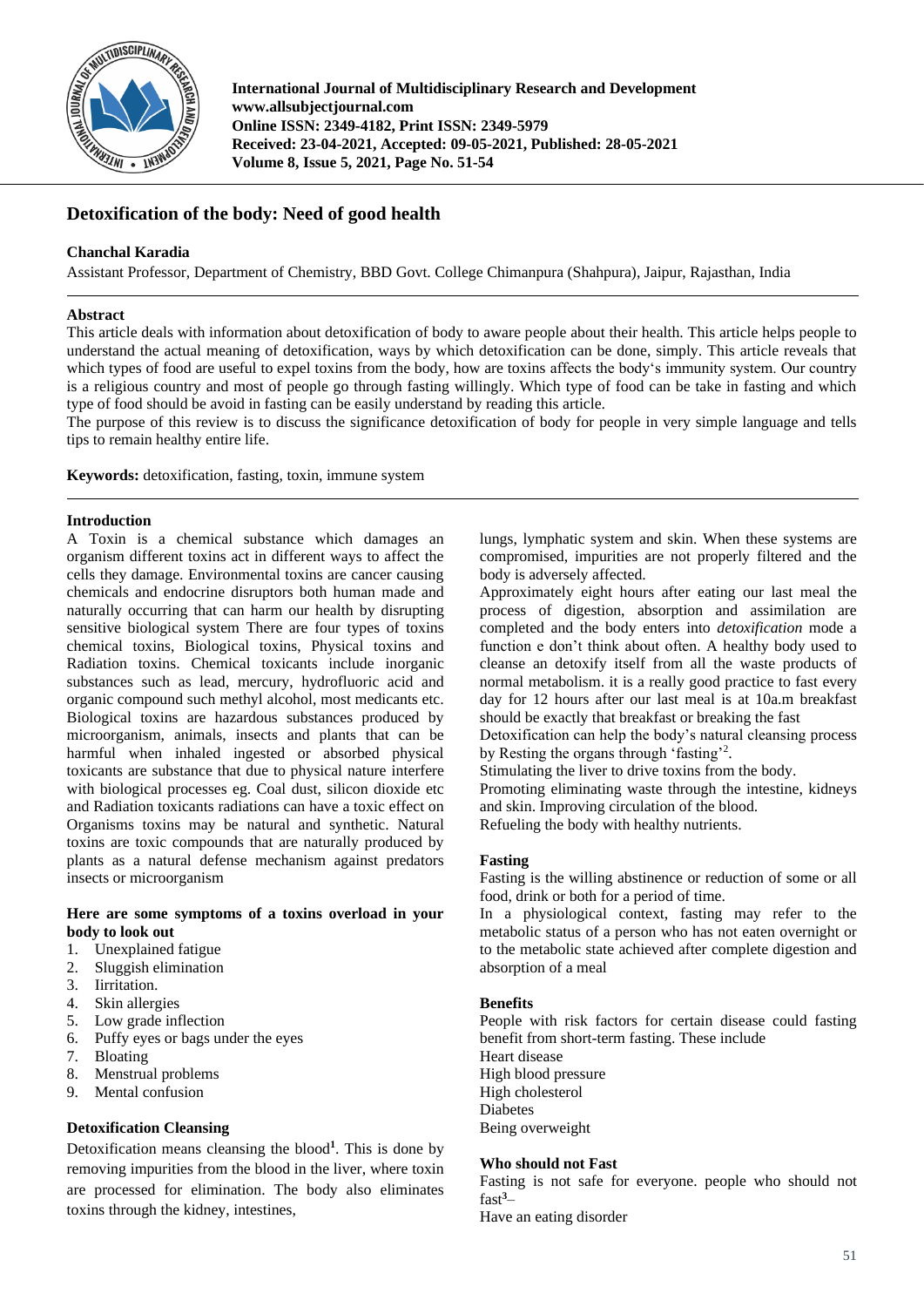

**International Journal of Multidisciplinary Research and Development www.allsubjectjournal.com Online ISSN: 2349-4182, Print ISSN: 2349-5979 Received: 23-04-2021, Accepted: 09-05-2021, Published: 28-05-2021 Volume 8, Issue 5, 2021, Page No. 51-54**

# **Detoxification of the body: Need of good health**

# **Chanchal Karadia**

Assistant Professor, Department of Chemistry, BBD Govt. College Chimanpura (Shahpura), Jaipur, Rajasthan, India

### **Abstract**

This article deals with information about detoxification of body to aware people about their health. This article helps people to understand the actual meaning of detoxification, ways by which detoxification can be done, simply. This article reveals that which types of food are useful to expel toxins from the body, how are toxins affects the body's immunity system. Our country is a religious country and most of people go through fasting willingly. Which type of food can be take in fasting and which type of food should be avoid in fasting can be easily understand by reading this article.

The purpose of this review is to discuss the significance detoxification of body for people in very simple language and tells tips to remain healthy entire life.

**Keywords:** detoxification, fasting, toxin, immune system

#### **Introduction**

A Toxin is a chemical substance which damages an organism different toxins act in different ways to affect the cells they damage. Environmental toxins are cancer causing chemicals and endocrine disruptors both human made and naturally occurring that can harm our health by disrupting sensitive biological system There are four types of toxins chemical toxins, Biological toxins, Physical toxins and Radiation toxins. Chemical toxicants include inorganic substances such as lead, mercury, hydrofluoric acid and organic compound such methyl alcohol, most medicants etc. Biological toxins are hazardous substances produced by microorganism, animals, insects and plants that can be harmful when inhaled ingested or absorbed physical toxicants are substance that due to physical nature interfere with biological processes eg. Coal dust, silicon dioxide etc and Radiation toxicants radiations can have a toxic effect on Organisms toxins may be natural and synthetic. Natural toxins are toxic compounds that are naturally produced by plants as a natural defense mechanism against predators insects or microorganism

#### **Here are some symptoms of a toxins overload in your body to look out**

- 1. Unexplained fatigue
- 2. Sluggish elimination
- 3. Iirritation.
- 4. Skin allergies
- 5. Low grade inflection
- 6. Puffy eyes or bags under the eyes
- 7. Bloating
- 8. Menstrual problems
- 9. Mental confusion

# **Detoxification Cleansing**

Detoxification means cleansing the blood**<sup>1</sup>** . This is done by removing impurities from the blood in the liver, where toxin are processed for elimination. The body also eliminates toxins through the kidney, intestines,

lungs, lymphatic system and skin. When these systems are compromised, impurities are not properly filtered and the body is adversely affected.

Approximately eight hours after eating our last meal the process of digestion, absorption and assimilation are completed and the body enters into *detoxification* mode a function e don't think about often. A healthy body used to cleanse an detoxify itself from all the waste products of normal metabolism. it is a really good practice to fast every day for 12 hours after our last meal is at 10a.m breakfast should be exactly that breakfast or breaking the fast

Detoxification can help the body's natural cleansing process by Resting the organs through 'fasting'<sup>2</sup> .

Stimulating the liver to drive toxins from the body.

Promoting eliminating waste through the intestine, kidneys and skin. Improving circulation of the blood.

Refueling the body with healthy nutrients.

## **Fasting**

Fasting is the willing abstinence or reduction of some or all food, drink or both for a period of time.

In a physiological context, fasting may refer to the metabolic status of a person who has not eaten overnight or to the metabolic state achieved after complete digestion and absorption of a meal

#### **Benefits**

People with risk factors for certain disease could fasting benefit from short-term fasting. These include Heart disease High blood pressure High cholesterol Diabetes Being overweight

#### **Who should not Fast**

Fasting is not safe for everyone. people who should not fast**<sup>3</sup>**–

Have an eating disorder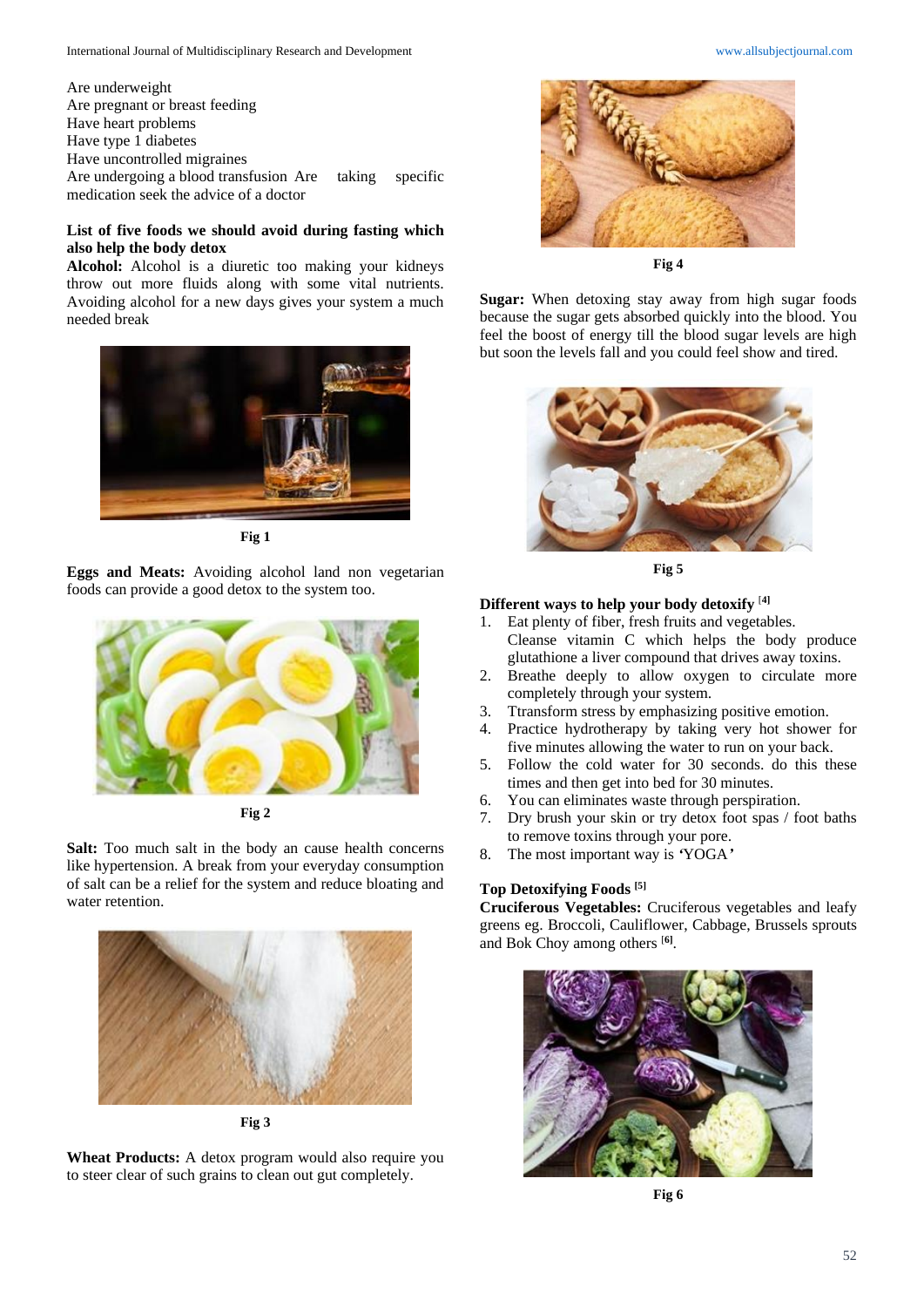Are underweight Are pregnant or breast feeding Have heart problems Have type 1 diabetes Have uncontrolled migraines Are undergoing a blood transfusion Are taking specific medication seek the advice of a doctor

# **List of five foods we should avoid during fasting which also help the body detox**

**Alcohol:** Alcohol is a diuretic too making your kidneys throw out more fluids along with some vital nutrients. Avoiding alcohol for a new days gives your system a much needed break



**Fig 1**

**Eggs and Meats:** Avoiding alcohol land non vegetarian foods can provide a good detox to the system too.



**Fig 2**

**Salt:** Too much salt in the body an cause health concerns like hypertension. A break from your everyday consumption of salt can be a relief for the system and reduce bloating and water retention.



**Fig 3**

**Wheat Products:** A detox program would also require you to steer clear of such grains to clean out gut completely.





**Fig 4**

**Sugar:** When detoxing stay away from high sugar foods because the sugar gets absorbed quickly into the blood. You feel the boost of energy till the blood sugar levels are high but soon the levels fall and you could feel show and tired.



**Fig 5**

### **Different ways to help your body detoxify** [**4]**

- 1. Eat plenty of fiber, fresh fruits and vegetables. Cleanse vitamin C which helps the body produce glutathione a liver compound that drives away toxins.
- 2. Breathe deeply to allow oxygen to circulate more completely through your system.
- 3. Ttransform stress by emphasizing positive emotion.
- 4. Practice hydrotherapy by taking very hot shower for five minutes allowing the water to run on your back.
- 5. Follow the cold water for 30 seconds. do this these times and then get into bed for 30 minutes.
- 6. You can eliminates waste through perspiration.
- 7. Dry brush your skin or try detox foot spas / foot baths to remove toxins through your pore.
- 8. The most important way is *'*YOGA*'*

#### **Top Detoxifying Foods [5]**

**Cruciferous Vegetables:** Cruciferous vegetables and leafy greens eg. Broccoli, Cauliflower, Cabbage, Brussels sprouts and Bok Choy among others [**6]** .



**Fig 6**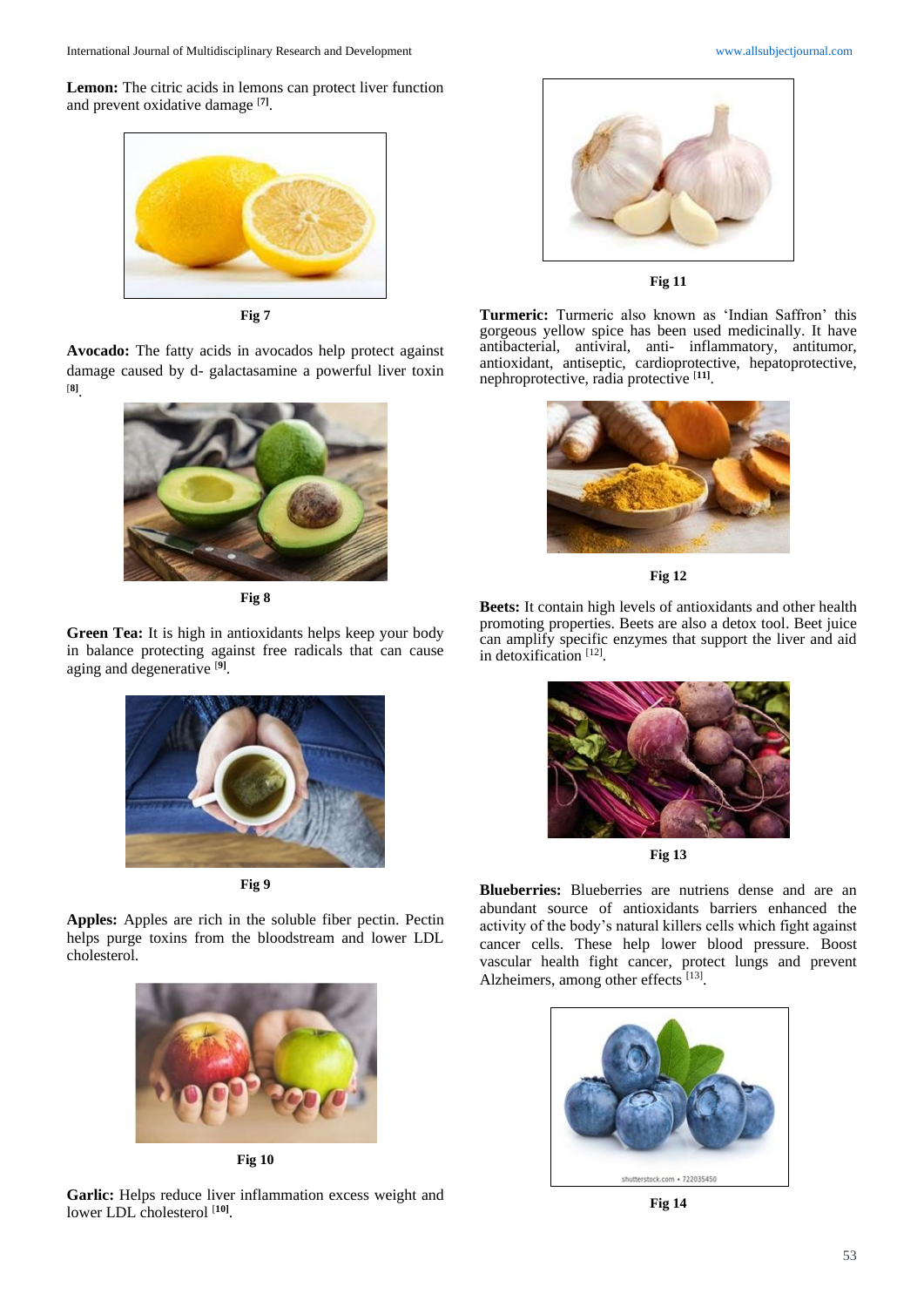International Journal of Multidisciplinary Research and Development [www.allsubjectjournal.com](http://www.allsubjectjournal.com/)

**Lemon:** The citric acids in lemons can protect liver function and prevent oxidative damage [**7]** .



**Fig 7**

**Avocado:** The fatty acids in avocados help protect against damage caused by d- galactasamine a powerful liver toxin [**8]** .



**Fig 8**

**Green Tea:** It is high in antioxidants helps keep your body in balance protecting against free radicals that can cause aging and degenerative [**9]** .



**Fig 9**

**Apples:** Apples are rich in the soluble fiber pectin. Pectin helps purge toxins from the bloodstream and lower LDL cholesterol.



**Fig 10**

**Garlic:** Helps reduce liver inflammation excess weight and lower LDL cholesterol [**10]** .



**Fig 11**

**Turmeric:** Turmeric also known as 'Indian Saffron' this gorgeous yellow spice has been used medicinally. It have antibacterial, antiviral, anti- inflammatory, antitumor, antioxidant, antiseptic, cardioprotective, hepatoprotective, nephroprotective, radia protective [**11]** .



**Fig 12**

**Beets:** It contain high levels of antioxidants and other health promoting properties. Beets are also a detox tool. Beet juice can amplify specific enzymes that support the liver and aid in detoxification<sup>[12]</sup>.



**Fig 13**

**Blueberries:** Blueberries are nutriens dense and are an abundant source of antioxidants barriers enhanced the activity of the body's natural killers cells which fight against cancer cells. These help lower blood pressure. Boost vascular health fight cancer, protect lungs and prevent Alzheimers, among other effects [13].



**Fig 14**